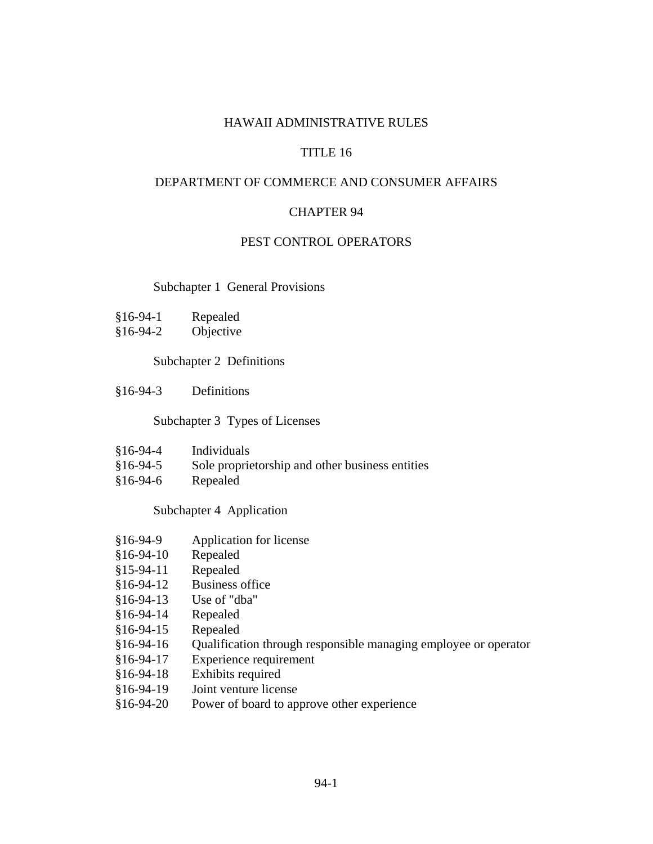## HAWAII ADMINISTRATIVE RULES

# TITLE 16

## DEPARTMENT OF COMMERCE AND CONSUMER AFFAIRS

## CHAPTER 94

## PEST CONTROL OPERATORS

### Subchapter 1 General Provisions

§16-94-2 Objective

## Subchapter 2 Definitions

§16-94-3 Definitions

## Subchapter 3 Types of Licenses

- §16-94-4 Individuals
- §16-94-5 Sole proprietorship and other business entities
- §16-94-6 Repealed

## Subchapter 4 Application

- §16-94-9 Application for license
- §16-94-10 Repealed
- §15-94-11 Repealed
- §16-94-12 Business office
- §16-94-13 Use of "dba"
- §16-94-14 Repealed
- §16-94-15 Repealed
- §16-94-16 Qualification through responsible managing employee or operator
- §16-94-17 Experience requirement
- §16-94-18 Exhibits required
- §16-94-19 Joint venture license
- §16-94-20 Power of board to approve other experience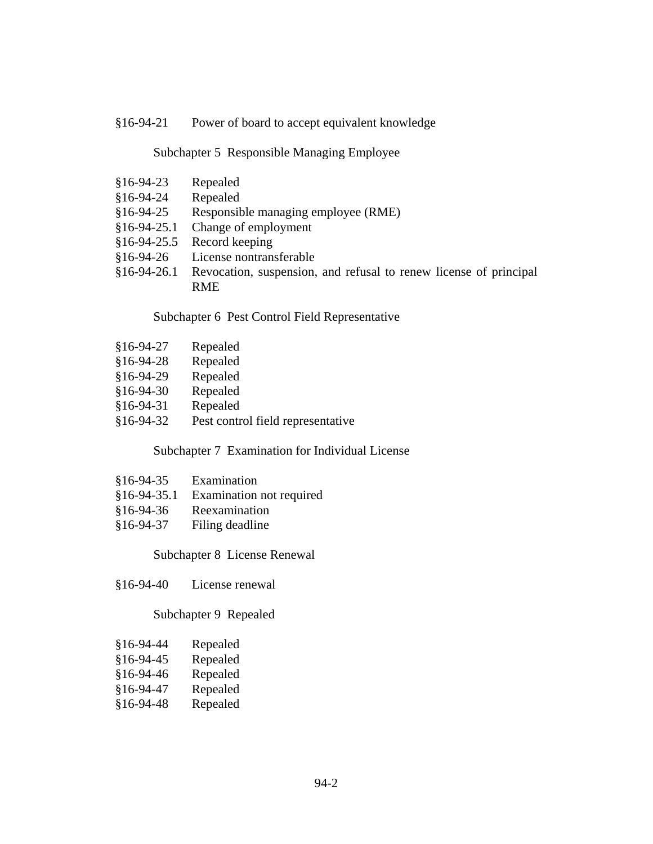## §16-94-21 Power of board to accept equivalent knowledge

### Subchapter 5 Responsible Managing Employee

- §16-94-23 Repealed
- §16-94-24 Repealed
- §16-94-25 Responsible managing employee (RME)
- §16-94-25.1 Change of employment
- §16-94-25.5 Record keeping
- §16-94-26 License nontransferable
- §16-94-26.1 Revocation, suspension, and refusal to renew license of principal RME

### Subchapter 6 Pest Control Field Representative

- §16-94-27 Repealed
- §16-94-28 Repealed
- §16-94-29 Repealed
- §16-94-30 Repealed
- §16-94-31 Repealed
- §16-94-32 Pest control field representative

## Subchapter 7 Examination for Individual License

- §16-94-35 Examination
- §16-94-35.1 Examination not required
- §16-94-36 Reexamination
- §16-94-37 Filing deadline

## Subchapter 8 License Renewal

§16-94-40 License renewal

## Subchapter 9 Repealed

| $$16-94-44$ | Repealed |
|-------------|----------|
| $§16-94-45$ | Repealed |
| $$16-94-46$ | Repealed |

- 
- §16-94-47 Repealed
- §16-94-48 Repealed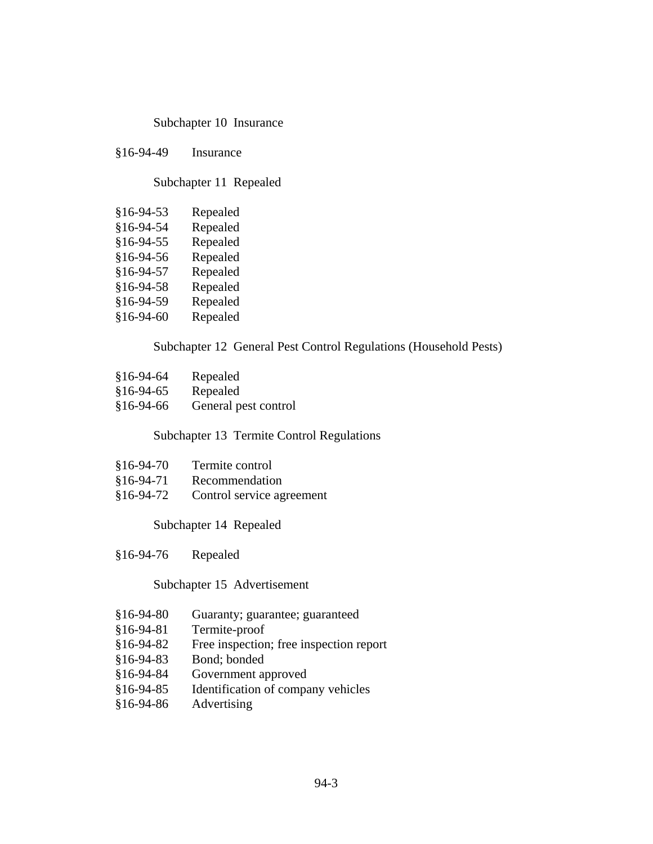## Subchapter 10 Insurance

§16-94-49 Insurance

Subchapter 11 Repealed

| $$16-94-53$ | Repealed |
|-------------|----------|
| §16-94-54   | Repealed |
| $$16-94-55$ | Repealed |
| $$16-94-56$ | Repealed |
| §16-94-57   | Repealed |
| $$16-94-58$ | Repealed |
| §16-94-59   | Repealed |
| $$16-94-60$ | Repealed |

## Subchapter 12 General Pest Control Regulations (Household Pests)

- §16-94-64 Repealed §16-94-65 Repealed
- §16-94-66 General pest control

Subchapter 13 Termite Control Regulations

| $$16-94-70$ | Termite control           |
|-------------|---------------------------|
| $§16-94-71$ | Recommendation            |
| $§16-94-72$ | Control service agreement |

Subchapter 14 Repealed

§16-94-76 Repealed

## Subchapter 15 Advertisement

- §16-94-80 Guaranty; guarantee; guaranteed
- §16-94-81 Termite-proof
- §16-94-82 Free inspection; free inspection report
- §16-94-83 Bond; bonded
- §16-94-84 Government approved
- §16-94-85 Identification of company vehicles
- §16-94-86 Advertising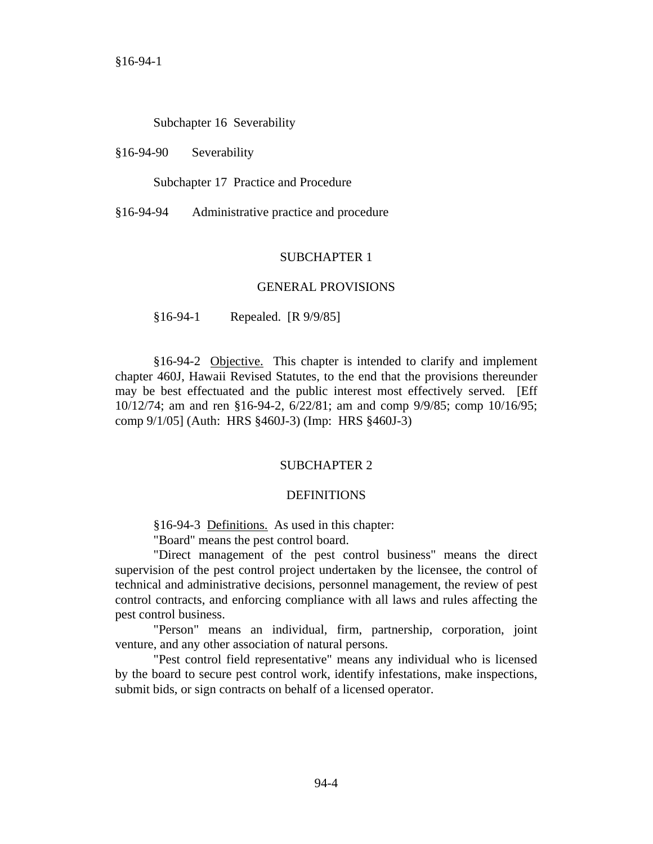## Subchapter 16 Severability

#### §16-94-90 Severability

Subchapter 17 Practice and Procedure

§16-94-94 Administrative practice and procedure

### SUBCHAPTER 1

#### GENERAL PROVISIONS

§16-94-1 Repealed. [R 9/9/85]

§16-94-2 Objective. This chapter is intended to clarify and implement chapter 460J, Hawaii Revised Statutes, to the end that the provisions thereunder may be best effectuated and the public interest most effectively served. [Eff 10/12/74; am and ren §16-94-2, 6/22/81; am and comp 9/9/85; comp 10/16/95; comp 9/1/05] (Auth: HRS §460J-3) (Imp: HRS §460J-3)

## SUBCHAPTER 2

#### DEFINITIONS

§16-94-3 Definitions. As used in this chapter:

"Board" means the pest control board.

"Direct management of the pest control business" means the direct supervision of the pest control project undertaken by the licensee, the control of technical and administrative decisions, personnel management, the review of pest control contracts, and enforcing compliance with all laws and rules affecting the pest control business.

"Person" means an individual, firm, partnership, corporation, joint venture, and any other association of natural persons.

"Pest control field representative" means any individual who is licensed by the board to secure pest control work, identify infestations, make inspections, submit bids, or sign contracts on behalf of a licensed operator.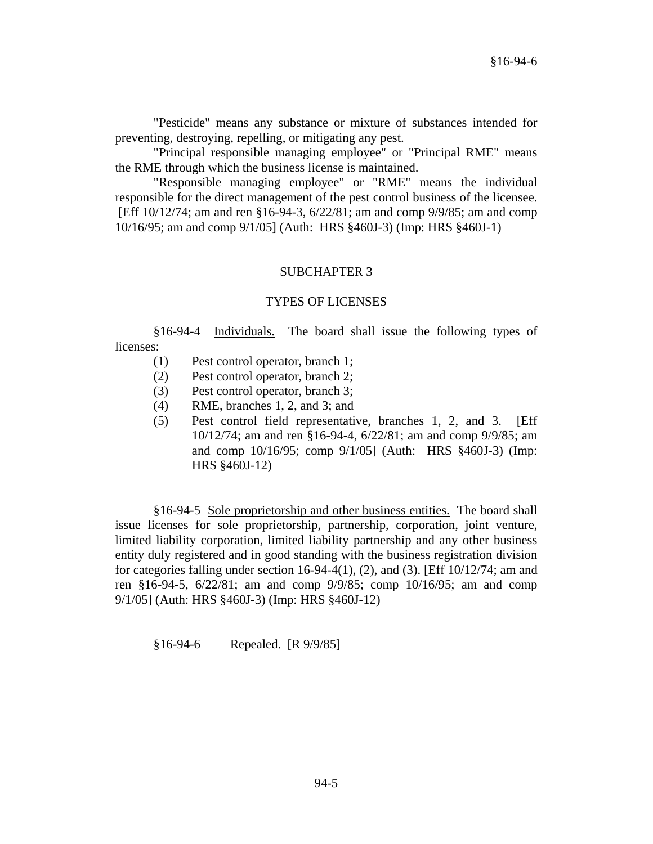"Pesticide" means any substance or mixture of substances intended for preventing, destroying, repelling, or mitigating any pest.

"Principal responsible managing employee" or "Principal RME" means the RME through which the business license is maintained.

"Responsible managing employee" or "RME" means the individual responsible for the direct management of the pest control business of the licensee. [Eff 10/12/74; am and ren §16-94-3, 6/22/81; am and comp 9/9/85; am and comp 10/16/95; am and comp 9/1/05] (Auth: HRS §460J-3) (Imp: HRS §460J-1)

## SUBCHAPTER 3

### TYPES OF LICENSES

§16-94-4 Individuals. The board shall issue the following types of licenses:

- (1) Pest control operator, branch 1;
- (2) Pest control operator, branch 2;
- (3) Pest control operator, branch 3;
- (4) RME, branches 1, 2, and 3; and
- (5) Pest control field representative, branches 1, 2, and 3. [Eff 10/12/74; am and ren §16-94-4, 6/22/81; am and comp 9/9/85; am and comp 10/16/95; comp 9/1/05] (Auth: HRS §460J-3) (Imp: HRS §460J-12)

§16-94-5 Sole proprietorship and other business entities. The board shall issue licenses for sole proprietorship, partnership, corporation, joint venture, limited liability corporation, limited liability partnership and any other business entity duly registered and in good standing with the business registration division for categories falling under section 16-94-4(1), (2), and (3). [Eff  $10/12/74$ ; am and ren §16-94-5, 6/22/81; am and comp 9/9/85; comp 10/16/95; am and comp 9/1/05] (Auth: HRS §460J-3) (Imp: HRS §460J-12)

§16-94-6 Repealed. [R 9/9/85]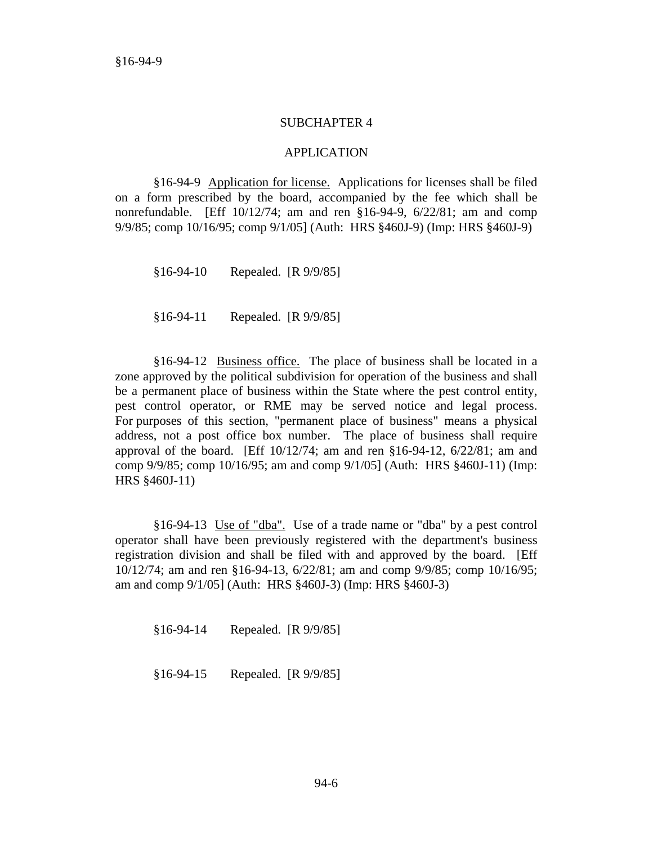### SUBCHAPTER 4

### APPLICATION

§16-94-9 Application for license. Applications for licenses shall be filed on a form prescribed by the board, accompanied by the fee which shall be nonrefundable. [Eff 10/12/74; am and ren §16-94-9, 6/22/81; am and comp 9/9/85; comp 10/16/95; comp 9/1/05] (Auth: HRS §460J-9) (Imp: HRS §460J-9)

§16-94-10 Repealed. [R 9/9/85]

§16-94-11 Repealed. [R 9/9/85]

§16-94-12 Business office. The place of business shall be located in a zone approved by the political subdivision for operation of the business and shall be a permanent place of business within the State where the pest control entity, pest control operator, or RME may be served notice and legal process. For purposes of this section, "permanent place of business" means a physical address, not a post office box number. The place of business shall require approval of the board. [Eff 10/12/74; am and ren §16-94-12, 6/22/81; am and comp 9/9/85; comp 10/16/95; am and comp 9/1/05] (Auth: HRS §460J-11) (Imp: HRS §460J-11)

§16-94-13 Use of "dba". Use of a trade name or "dba" by a pest control operator shall have been previously registered with the department's business registration division and shall be filed with and approved by the board. [Eff 10/12/74; am and ren §16-94-13, 6/22/81; am and comp 9/9/85; comp 10/16/95; am and comp 9/1/05] (Auth: HRS §460J-3) (Imp: HRS §460J-3)

§16-94-14 Repealed. [R 9/9/85]

§16-94-15 Repealed. [R 9/9/85]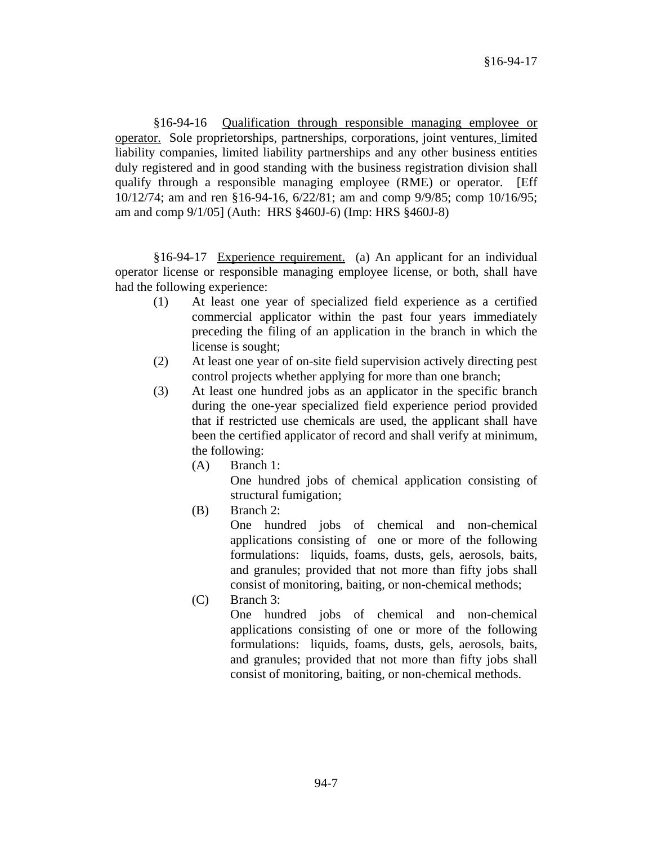§16-94-16 Qualification through responsible managing employee or operator. Sole proprietorships, partnerships, corporations, joint ventures, limited liability companies, limited liability partnerships and any other business entities duly registered and in good standing with the business registration division shall qualify through a responsible managing employee (RME) or operator. [Eff 10/12/74; am and ren §16-94-16, 6/22/81; am and comp 9/9/85; comp 10/16/95; am and comp 9/1/05] (Auth: HRS §460J-6) (Imp: HRS §460J-8)

§16-94-17 Experience requirement. (a) An applicant for an individual operator license or responsible managing employee license, or both, shall have had the following experience:

- (1) At least one year of specialized field experience as a certified commercial applicator within the past four years immediately preceding the filing of an application in the branch in which the license is sought;
- (2) At least one year of on-site field supervision actively directing pest control projects whether applying for more than one branch;
- (3) At least one hundred jobs as an applicator in the specific branch during the one-year specialized field experience period provided that if restricted use chemicals are used, the applicant shall have been the certified applicator of record and shall verify at minimum, the following:
	- (A) Branch 1: One hundred jobs of chemical application consisting of structural fumigation;
	- (B) Branch 2:

One hundred jobs of chemical and non-chemical applications consisting of one or more of the following formulations: liquids, foams, dusts, gels, aerosols, baits, and granules; provided that not more than fifty jobs shall consist of monitoring, baiting, or non-chemical methods;

(C) Branch 3:

One hundred jobs of chemical and non-chemical applications consisting of one or more of the following formulations: liquids, foams, dusts, gels, aerosols, baits, and granules; provided that not more than fifty jobs shall consist of monitoring, baiting, or non-chemical methods.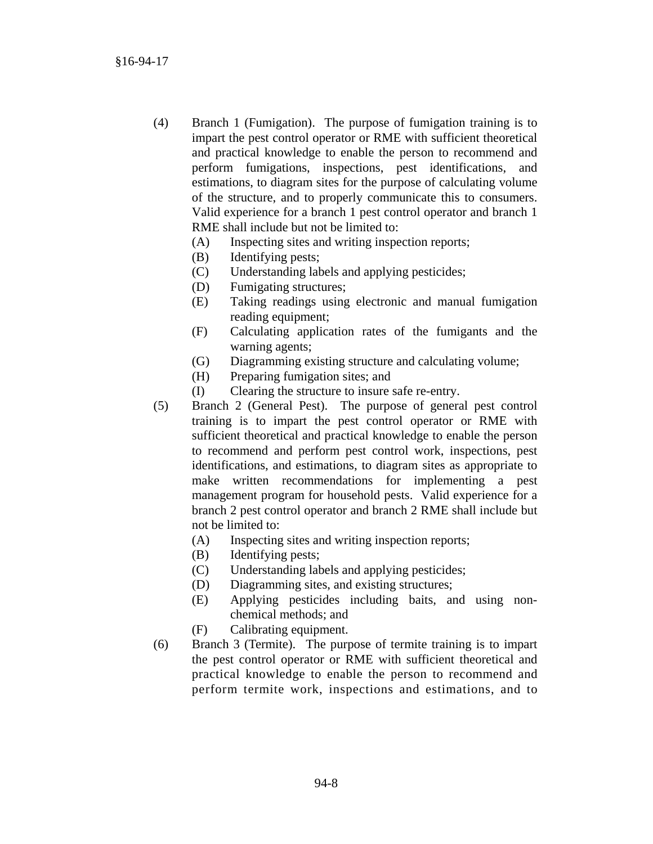- (4) Branch 1 (Fumigation). The purpose of fumigation training is to impart the pest control operator or RME with sufficient theoretical and practical knowledge to enable the person to recommend and perform fumigations, inspections, pest identifications, and estimations, to diagram sites for the purpose of calculating volume of the structure, and to properly communicate this to consumers. Valid experience for a branch 1 pest control operator and branch 1 RME shall include but not be limited to:
	- (A) Inspecting sites and writing inspection reports;
	- (B) Identifying pests;
	- (C) Understanding labels and applying pesticides;
	- (D) Fumigating structures;
	- (E) Taking readings using electronic and manual fumigation reading equipment;
	- (F) Calculating application rates of the fumigants and the warning agents;
	- (G) Diagramming existing structure and calculating volume;
	- (H) Preparing fumigation sites; and
	- (I) Clearing the structure to insure safe re-entry.
- (5) Branch 2 (General Pest). The purpose of general pest control training is to impart the pest control operator or RME with sufficient theoretical and practical knowledge to enable the person to recommend and perform pest control work, inspections, pest identifications, and estimations, to diagram sites as appropriate to make written recommendations for implementing a pest management program for household pests. Valid experience for a branch 2 pest control operator and branch 2 RME shall include but not be limited to:
	- (A) Inspecting sites and writing inspection reports;
	- (B) Identifying pests;
	- (C) Understanding labels and applying pesticides;
	- (D) Diagramming sites, and existing structures;
	- (E) Applying pesticides including baits, and using nonchemical methods; and
	- (F) Calibrating equipment.
- (6) Branch 3 (Termite). The purpose of termite training is to impart the pest control operator or RME with sufficient theoretical and practical knowledge to enable the person to recommend and perform termite work, inspections and estimations, and to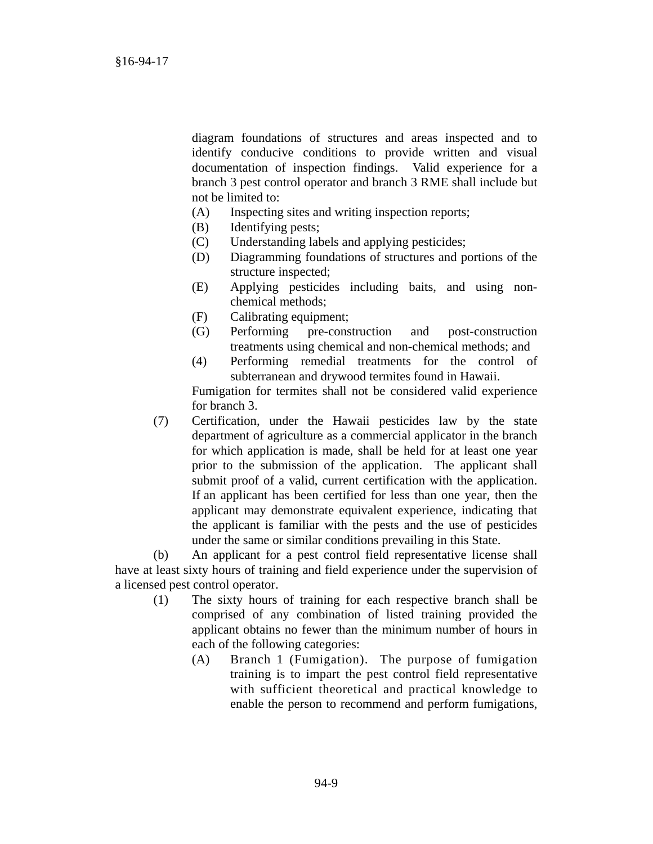diagram foundations of structures and areas inspected and to identify conducive conditions to provide written and visual documentation of inspection findings. Valid experience for a branch 3 pest control operator and branch 3 RME shall include but not be limited to:

- (A) Inspecting sites and writing inspection reports;
- (B) Identifying pests;
- (C) Understanding labels and applying pesticides;
- (D) Diagramming foundations of structures and portions of the structure inspected;
- (E) Applying pesticides including baits, and using nonchemical methods;
- (F) Calibrating equipment;
- (G) Performing pre-construction and post-construction treatments using chemical and non-chemical methods; and
- (4) Performing remedial treatments for the control of subterranean and drywood termites found in Hawaii.

Fumigation for termites shall not be considered valid experience for branch 3.

(7) Certification, under the Hawaii pesticides law by the state department of agriculture as a commercial applicator in the branch for which application is made, shall be held for at least one year prior to the submission of the application. The applicant shall submit proof of a valid, current certification with the application. If an applicant has been certified for less than one year, then the applicant may demonstrate equivalent experience, indicating that the applicant is familiar with the pests and the use of pesticides under the same or similar conditions prevailing in this State.

(b) An applicant for a pest control field representative license shall have at least sixty hours of training and field experience under the supervision of a licensed pest control operator.

- (1) The sixty hours of training for each respective branch shall be comprised of any combination of listed training provided the applicant obtains no fewer than the minimum number of hours in each of the following categories:
	- (A) Branch 1 (Fumigation). The purpose of fumigation training is to impart the pest control field representative with sufficient theoretical and practical knowledge to enable the person to recommend and perform fumigations,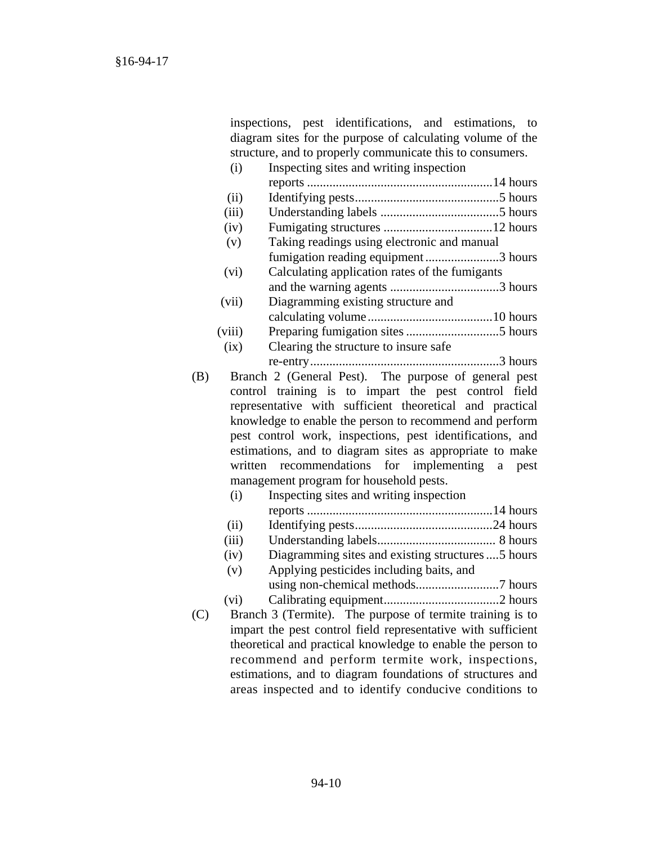inspections, pest identifications, and estimations, to diagram sites for the purpose of calculating volume of the structure, and to properly communicate this to consumers.

|     | (i)     | Inspecting sites and writing inspection                      |
|-----|---------|--------------------------------------------------------------|
|     |         |                                                              |
|     | (ii)    |                                                              |
|     | (iii)   |                                                              |
|     | (iv)    |                                                              |
|     | (v)     | Taking readings using electronic and manual                  |
|     |         | fumigation reading equipment3 hours                          |
|     | (vi)    | Calculating application rates of the fumigants               |
|     |         |                                                              |
|     | (vii)   | Diagramming existing structure and                           |
|     |         |                                                              |
|     | (viii)  |                                                              |
|     | (ix)    | Clearing the structure to insure safe                        |
|     |         |                                                              |
| (B) |         | Branch 2 (General Pest). The purpose of general pest         |
|     |         | control training is to impart the pest control field         |
|     |         | representative with sufficient theoretical and practical     |
|     |         | knowledge to enable the person to recommend and perform      |
|     |         | pest control work, inspections, pest identifications, and    |
|     |         | estimations, and to diagram sites as appropriate to make     |
|     | written | recommendations<br>for<br>implementing<br>a pest             |
|     |         | management program for household pests.                      |
|     | (i)     | Inspecting sites and writing inspection                      |
|     |         |                                                              |
|     | (ii)    |                                                              |
|     | (iii)   |                                                              |
|     | (iv)    | Diagramming sites and existing structures  5 hours           |
|     | (v)     | Applying pesticides including baits, and                     |
|     |         |                                                              |
|     | (vi)    |                                                              |
| (C) |         | Branch 3 (Termite). The purpose of termite training is to    |
|     |         | impart the pest control field representative with sufficient |
|     |         | theoretical and practical knowledge to enable the person to  |
|     |         | recommend and perform termite work, inspections,             |
|     |         | estimations, and to diagram foundations of structures and    |

areas inspected and to identify conducive conditions to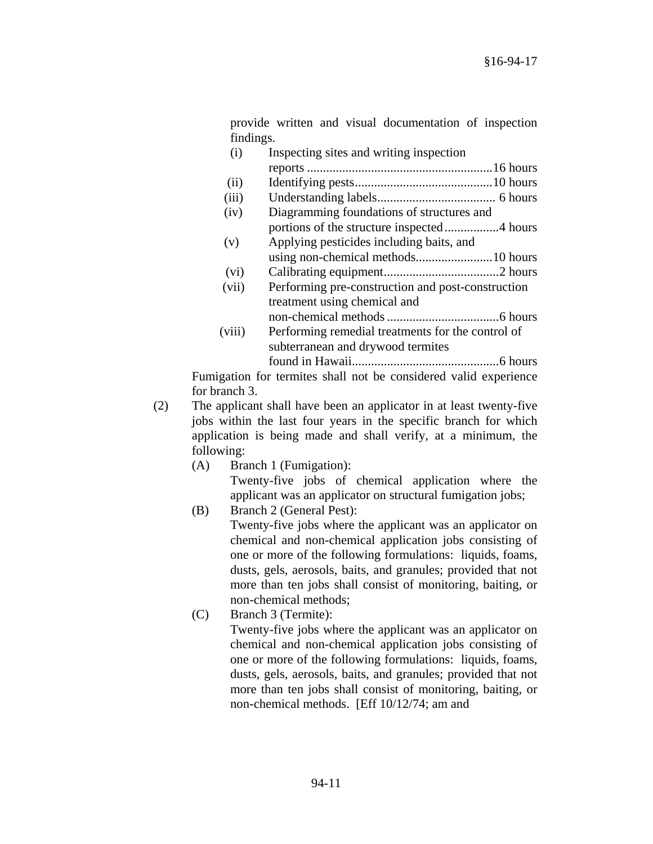provide written and visual documentation of inspection findings.

| (i)    | Inspecting sites and writing inspection           |  |
|--------|---------------------------------------------------|--|
|        |                                                   |  |
| (ii)   |                                                   |  |
| (iii)  |                                                   |  |
| (iv)   | Diagramming foundations of structures and         |  |
|        |                                                   |  |
| (v)    | Applying pesticides including baits, and          |  |
|        |                                                   |  |
| (vi)   |                                                   |  |
| (vii)  | Performing pre-construction and post-construction |  |
|        | treatment using chemical and                      |  |
|        |                                                   |  |
| (viii) | Performing remedial treatments for the control of |  |
|        | subterranean and drywood termites                 |  |
|        |                                                   |  |
|        | المنافذة المتحدث المتحدث المتحدث والمتحدث         |  |

Fumigation for termites shall not be considered valid experience for branch 3.

- (2) The applicant shall have been an applicator in at least twenty-five jobs within the last four years in the specific branch for which application is being made and shall verify, at a minimum, the following:
	- (A) Branch 1 (Fumigation): Twenty-five jobs of chemical application where the applicant was an applicator on structural fumigation jobs;

(B) Branch 2 (General Pest):

 Twenty-five jobs where the applicant was an applicator on chemical and non-chemical application jobs consisting of one or more of the following formulations: liquids, foams, dusts, gels, aerosols, baits, and granules; provided that not more than ten jobs shall consist of monitoring, baiting, or non-chemical methods;

(C) Branch 3 (Termite):

 Twenty-five jobs where the applicant was an applicator on chemical and non-chemical application jobs consisting of one or more of the following formulations: liquids, foams, dusts, gels, aerosols, baits, and granules; provided that not more than ten jobs shall consist of monitoring, baiting, or non-chemical methods. [Eff 10/12/74; am and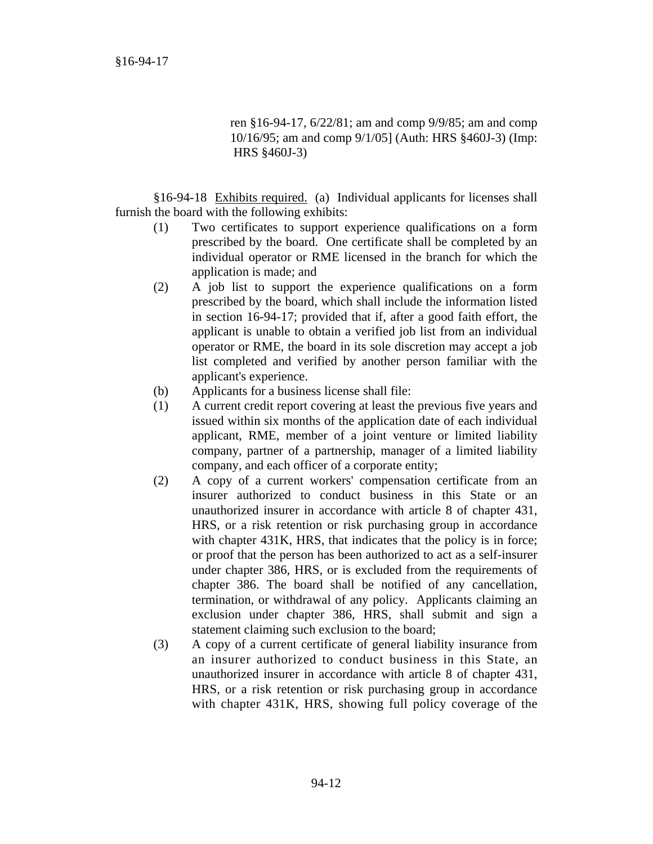ren §16-94-17, 6/22/81; am and comp 9/9/85; am and comp 10/16/95; am and comp 9/1/05] (Auth: HRS §460J-3) (Imp: HRS §460J-3)

§16-94-18 Exhibits required. (a) Individual applicants for licenses shall furnish the board with the following exhibits:

- (1) Two certificates to support experience qualifications on a form prescribed by the board. One certificate shall be completed by an individual operator or RME licensed in the branch for which the application is made; and
- (2) A job list to support the experience qualifications on a form prescribed by the board, which shall include the information listed in section 16-94-17; provided that if, after a good faith effort, the applicant is unable to obtain a verified job list from an individual operator or RME, the board in its sole discretion may accept a job list completed and verified by another person familiar with the applicant's experience.
- (b) Applicants for a business license shall file:
- (1) A current credit report covering at least the previous five years and issued within six months of the application date of each individual applicant, RME, member of a joint venture or limited liability company, partner of a partnership, manager of a limited liability company, and each officer of a corporate entity;
- (2) A copy of a current workers' compensation certificate from an insurer authorized to conduct business in this State or an unauthorized insurer in accordance with article 8 of chapter 431, HRS, or a risk retention or risk purchasing group in accordance with chapter 431K, HRS, that indicates that the policy is in force; or proof that the person has been authorized to act as a self-insurer under chapter 386, HRS, or is excluded from the requirements of chapter 386. The board shall be notified of any cancellation, termination, or withdrawal of any policy. Applicants claiming an exclusion under chapter 386, HRS, shall submit and sign a statement claiming such exclusion to the board;
- (3) A copy of a current certificate of general liability insurance from an insurer authorized to conduct business in this State, an unauthorized insurer in accordance with article 8 of chapter 431, HRS, or a risk retention or risk purchasing group in accordance with chapter 431K, HRS, showing full policy coverage of the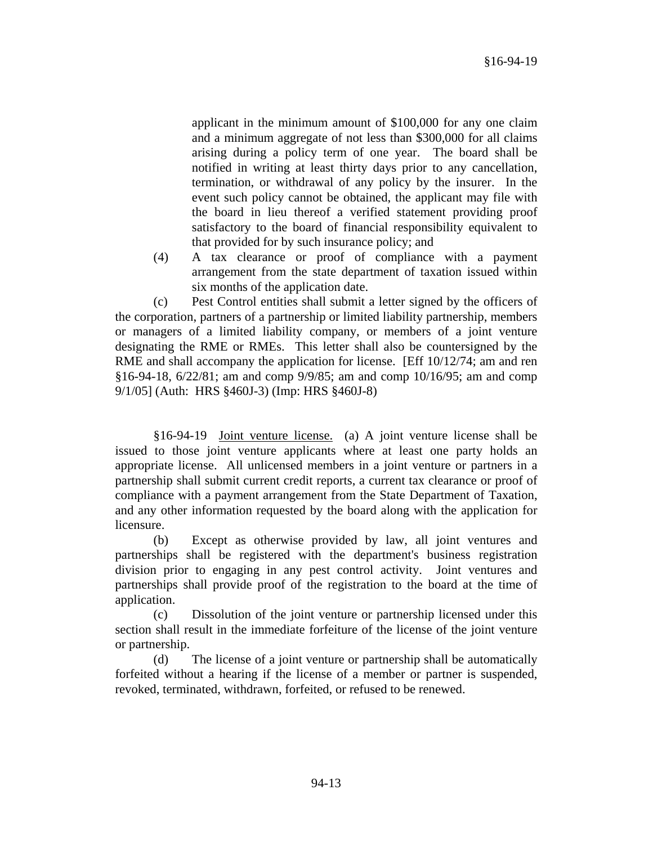applicant in the minimum amount of \$100,000 for any one claim and a minimum aggregate of not less than \$300,000 for all claims arising during a policy term of one year. The board shall be notified in writing at least thirty days prior to any cancellation, termination, or withdrawal of any policy by the insurer. In the event such policy cannot be obtained, the applicant may file with the board in lieu thereof a verified statement providing proof satisfactory to the board of financial responsibility equivalent to that provided for by such insurance policy; and

(4) A tax clearance or proof of compliance with a payment arrangement from the state department of taxation issued within six months of the application date.

(c) Pest Control entities shall submit a letter signed by the officers of the corporation, partners of a partnership or limited liability partnership, members or managers of a limited liability company, or members of a joint venture designating the RME or RMEs. This letter shall also be countersigned by the RME and shall accompany the application for license. [Eff 10/12/74; am and ren §16-94-18, 6/22/81; am and comp 9/9/85; am and comp 10/16/95; am and comp 9/1/05] (Auth: HRS §460J-3) (Imp: HRS §460J-8)

§16-94-19 Joint venture license. (a) A joint venture license shall be issued to those joint venture applicants where at least one party holds an appropriate license. All unlicensed members in a joint venture or partners in a partnership shall submit current credit reports, a current tax clearance or proof of compliance with a payment arrangement from the State Department of Taxation, and any other information requested by the board along with the application for licensure.

(b) Except as otherwise provided by law, all joint ventures and partnerships shall be registered with the department's business registration division prior to engaging in any pest control activity. Joint ventures and partnerships shall provide proof of the registration to the board at the time of application.

(c) Dissolution of the joint venture or partnership licensed under this section shall result in the immediate forfeiture of the license of the joint venture or partnership.

(d) The license of a joint venture or partnership shall be automatically forfeited without a hearing if the license of a member or partner is suspended, revoked, terminated, withdrawn, forfeited, or refused to be renewed.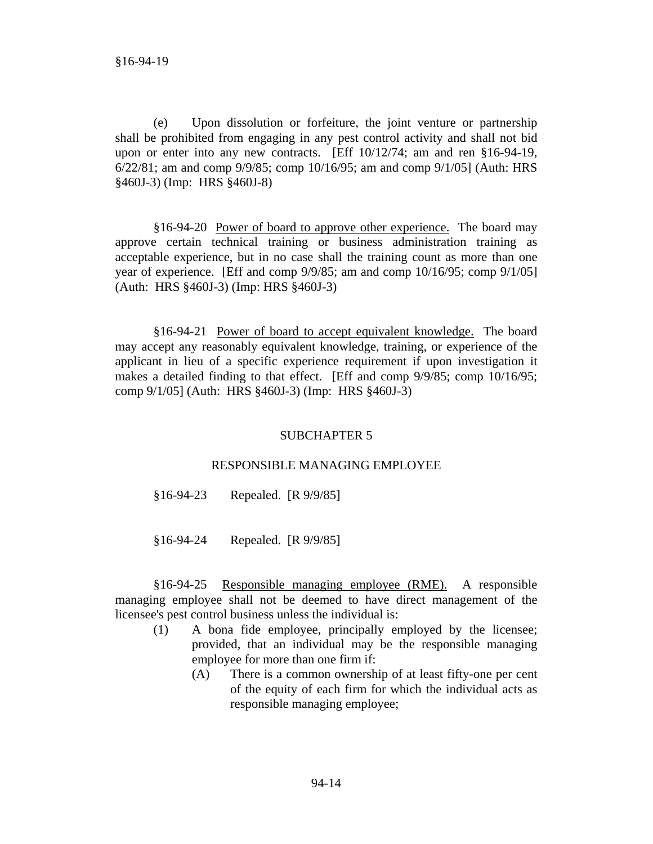(e) Upon dissolution or forfeiture, the joint venture or partnership shall be prohibited from engaging in any pest control activity and shall not bid upon or enter into any new contracts. [Eff 10/12/74; am and ren §16-94-19, 6/22/81; am and comp 9/9/85; comp 10/16/95; am and comp 9/1/05] (Auth: HRS §460J-3) (Imp: HRS §460J-8)

§16-94-20 Power of board to approve other experience. The board may approve certain technical training or business administration training as acceptable experience, but in no case shall the training count as more than one year of experience. [Eff and comp 9/9/85; am and comp 10/16/95; comp 9/1/05] (Auth: HRS §460J-3) (Imp: HRS §460J-3)

§16-94-21 Power of board to accept equivalent knowledge. The board may accept any reasonably equivalent knowledge, training, or experience of the applicant in lieu of a specific experience requirement if upon investigation it makes a detailed finding to that effect. [Eff and comp 9/9/85; comp 10/16/95; comp 9/1/05] (Auth: HRS §460J-3) (Imp: HRS §460J-3)

## SUBCHAPTER 5

## RESPONSIBLE MANAGING EMPLOYEE

§16-94-23 Repealed. [R 9/9/85]

§16-94-24 Repealed. [R 9/9/85]

§16-94-25 Responsible managing employee (RME). A responsible managing employee shall not be deemed to have direct management of the licensee's pest control business unless the individual is:

- (1) A bona fide employee, principally employed by the licensee; provided, that an individual may be the responsible managing employee for more than one firm if:
	- (A) There is a common ownership of at least fifty-one per cent of the equity of each firm for which the individual acts as responsible managing employee;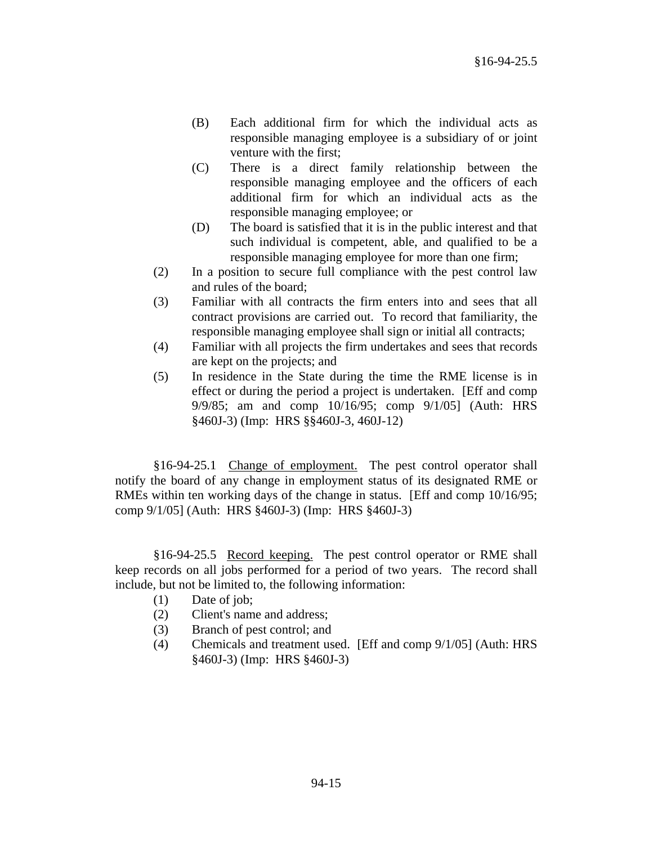- (B) Each additional firm for which the individual acts as responsible managing employee is a subsidiary of or joint venture with the first;
- (C) There is a direct family relationship between the responsible managing employee and the officers of each additional firm for which an individual acts as the responsible managing employee; or
- (D) The board is satisfied that it is in the public interest and that such individual is competent, able, and qualified to be a responsible managing employee for more than one firm;
- (2) In a position to secure full compliance with the pest control law and rules of the board;
- (3) Familiar with all contracts the firm enters into and sees that all contract provisions are carried out. To record that familiarity, the responsible managing employee shall sign or initial all contracts;
- (4) Familiar with all projects the firm undertakes and sees that records are kept on the projects; and
- (5) In residence in the State during the time the RME license is in effect or during the period a project is undertaken. [Eff and comp 9/9/85; am and comp 10/16/95; comp 9/1/05] (Auth: HRS §460J-3) (Imp: HRS §§460J-3, 460J-12)

§16-94-25.1 Change of employment. The pest control operator shall notify the board of any change in employment status of its designated RME or RMEs within ten working days of the change in status. [Eff and comp 10/16/95; comp 9/1/05] (Auth: HRS §460J-3) (Imp: HRS §460J-3)

§16-94-25.5 Record keeping. The pest control operator or RME shall keep records on all jobs performed for a period of two years. The record shall include, but not be limited to, the following information:

- (1) Date of job;
- (2) Client's name and address;
- (3) Branch of pest control; and
- (4) Chemicals and treatment used. [Eff and comp 9/1/05] (Auth: HRS §460J-3) (Imp: HRS §460J-3)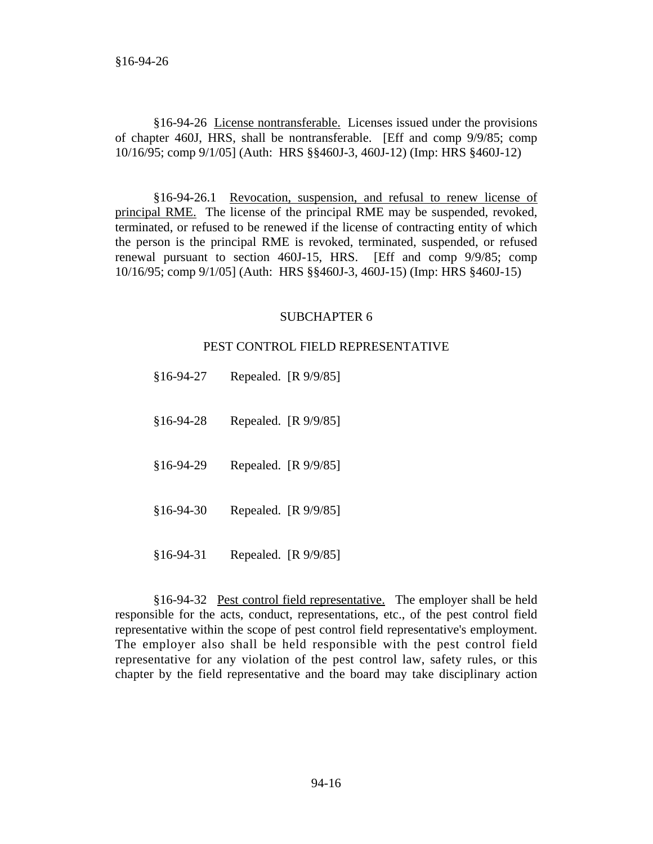§16-94-26 License nontransferable. Licenses issued under the provisions of chapter 460J, HRS, shall be nontransferable. [Eff and comp 9/9/85; comp 10/16/95; comp 9/1/05] (Auth: HRS §§460J-3, 460J-12) (Imp: HRS §460J-12)

§16-94-26.1 Revocation, suspension, and refusal to renew license of principal RME. The license of the principal RME may be suspended, revoked, terminated, or refused to be renewed if the license of contracting entity of which the person is the principal RME is revoked, terminated, suspended, or refused renewal pursuant to section 460J-15, HRS. [Eff and comp 9/9/85; comp 10/16/95; comp 9/1/05] (Auth: HRS §§460J-3, 460J-15) (Imp: HRS §460J-15)

## SUBCHAPTER 6

### PEST CONTROL FIELD REPRESENTATIVE

| \$16-94-27 | Repealed. [R 9/9/85] |
|------------|----------------------|
| §16-94-28  | Repealed. [R 9/9/85] |
| \$16-94-29 | Repealed. [R 9/9/85] |
| \$16-94-30 | Repealed. [R 9/9/85] |
| \$16-94-31 | Repealed. [R 9/9/85] |

§16-94-32 Pest control field representative. The employer shall be held responsible for the acts, conduct, representations, etc., of the pest control field representative within the scope of pest control field representative's employment. The employer also shall be held responsible with the pest control field representative for any violation of the pest control law, safety rules, or this chapter by the field representative and the board may take disciplinary action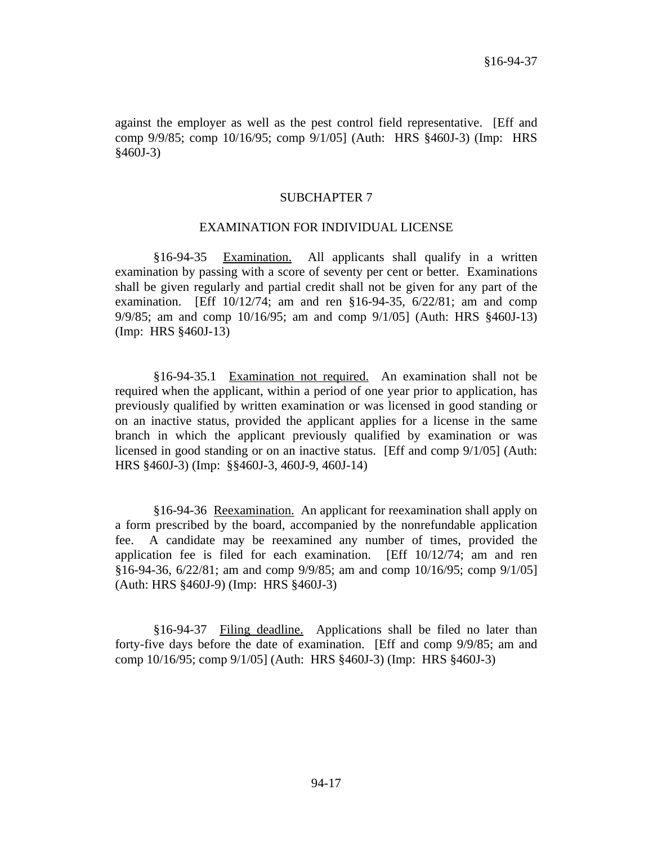against the employer as well as the pest control field representative. [Eff and comp 9/9/85; comp 10/16/95; comp 9/1/05] (Auth: HRS §460J-3) (Imp: HRS §460J-3)

#### SUBCHAPTER 7

#### EXAMINATION FOR INDIVIDUAL LICENSE

§16-94-35 Examination. All applicants shall qualify in a written examination by passing with a score of seventy per cent or better. Examinations shall be given regularly and partial credit shall not be given for any part of the examination. [Eff 10/12/74; am and ren §16-94-35, 6/22/81; am and comp 9/9/85; am and comp 10/16/95; am and comp 9/1/05] (Auth: HRS §460J-13) (Imp: HRS §460J-13)

§16-94-35.1 Examination not required. An examination shall not be required when the applicant, within a period of one year prior to application, has previously qualified by written examination or was licensed in good standing or on an inactive status, provided the applicant applies for a license in the same branch in which the applicant previously qualified by examination or was licensed in good standing or on an inactive status. [Eff and comp 9/1/05] (Auth: HRS §460J-3) (Imp: §§460J-3, 460J-9, 460J-14)

§16-94-36 Reexamination. An applicant for reexamination shall apply on a form prescribed by the board, accompanied by the nonrefundable application fee. A candidate may be reexamined any number of times, provided the application fee is filed for each examination. [Eff 10/12/74; am and ren §16-94-36, 6/22/81; am and comp 9/9/85; am and comp 10/16/95; comp 9/1/05] (Auth: HRS §460J-9) (Imp: HRS §460J-3)

§16-94-37 Filing deadline. Applications shall be filed no later than forty-five days before the date of examination. [Eff and comp 9/9/85; am and comp 10/16/95; comp 9/1/05] (Auth: HRS §460J-3) (Imp: HRS §460J-3)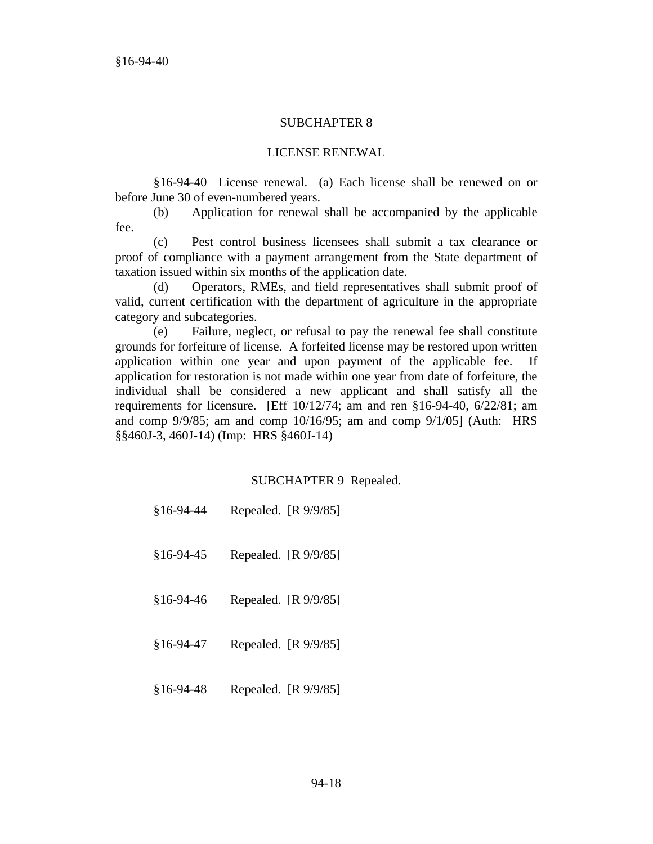## SUBCHAPTER 8

## LICENSE RENEWAL

§16-94-40 License renewal. (a) Each license shall be renewed on or before June 30 of even-numbered years.

(b) Application for renewal shall be accompanied by the applicable fee.

(c) Pest control business licensees shall submit a tax clearance or proof of compliance with a payment arrangement from the State department of taxation issued within six months of the application date.

(d) Operators, RMEs, and field representatives shall submit proof of valid, current certification with the department of agriculture in the appropriate category and subcategories.

(e) Failure, neglect, or refusal to pay the renewal fee shall constitute grounds for forfeiture of license. A forfeited license may be restored upon written application within one year and upon payment of the applicable fee. If application for restoration is not made within one year from date of forfeiture, the individual shall be considered a new applicant and shall satisfy all the requirements for licensure. [Eff  $10/12/74$ ; am and ren §16-94-40, 6/22/81; am and comp 9/9/85; am and comp 10/16/95; am and comp 9/1/05] (Auth: HRS §§460J-3, 460J-14) (Imp: HRS §460J-14)

## SUBCHAPTER 9 Repealed.

- §16-94-45 Repealed. [R 9/9/85]
- §16-94-46 Repealed. [R 9/9/85]
- §16-94-47 Repealed. [R 9/9/85]
- §16-94-48 Repealed. [R 9/9/85]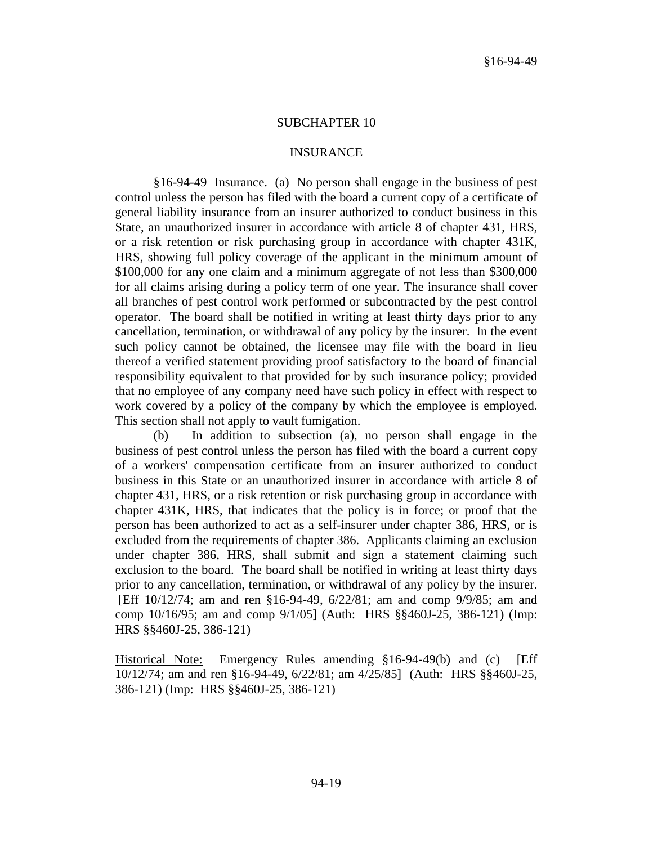## SUBCHAPTER 10

## **INSURANCE**

§16-94-49 Insurance. (a) No person shall engage in the business of pest control unless the person has filed with the board a current copy of a certificate of general liability insurance from an insurer authorized to conduct business in this State, an unauthorized insurer in accordance with article 8 of chapter 431, HRS, or a risk retention or risk purchasing group in accordance with chapter 431K, HRS, showing full policy coverage of the applicant in the minimum amount of \$100,000 for any one claim and a minimum aggregate of not less than \$300,000 for all claims arising during a policy term of one year. The insurance shall cover all branches of pest control work performed or subcontracted by the pest control operator. The board shall be notified in writing at least thirty days prior to any cancellation, termination, or withdrawal of any policy by the insurer. In the event such policy cannot be obtained, the licensee may file with the board in lieu thereof a verified statement providing proof satisfactory to the board of financial responsibility equivalent to that provided for by such insurance policy; provided that no employee of any company need have such policy in effect with respect to work covered by a policy of the company by which the employee is employed. This section shall not apply to vault fumigation.

(b) In addition to subsection (a), no person shall engage in the business of pest control unless the person has filed with the board a current copy of a workers' compensation certificate from an insurer authorized to conduct business in this State or an unauthorized insurer in accordance with article 8 of chapter 431, HRS, or a risk retention or risk purchasing group in accordance with chapter 431K, HRS, that indicates that the policy is in force; or proof that the person has been authorized to act as a self-insurer under chapter 386, HRS, or is excluded from the requirements of chapter 386. Applicants claiming an exclusion under chapter 386, HRS, shall submit and sign a statement claiming such exclusion to the board. The board shall be notified in writing at least thirty days prior to any cancellation, termination, or withdrawal of any policy by the insurer. [Eff 10/12/74; am and ren §16-94-49, 6/22/81; am and comp 9/9/85; am and comp 10/16/95; am and comp 9/1/05] (Auth: HRS §§460J-25, 386-121) (Imp: HRS §§460J-25, 386-121)

Historical Note: Emergency Rules amending §16-94-49(b) and (c) [Eff 10/12/74; am and ren §16-94-49, 6/22/81; am 4/25/85] (Auth: HRS §§460J-25, 386-121) (Imp: HRS §§460J-25, 386-121)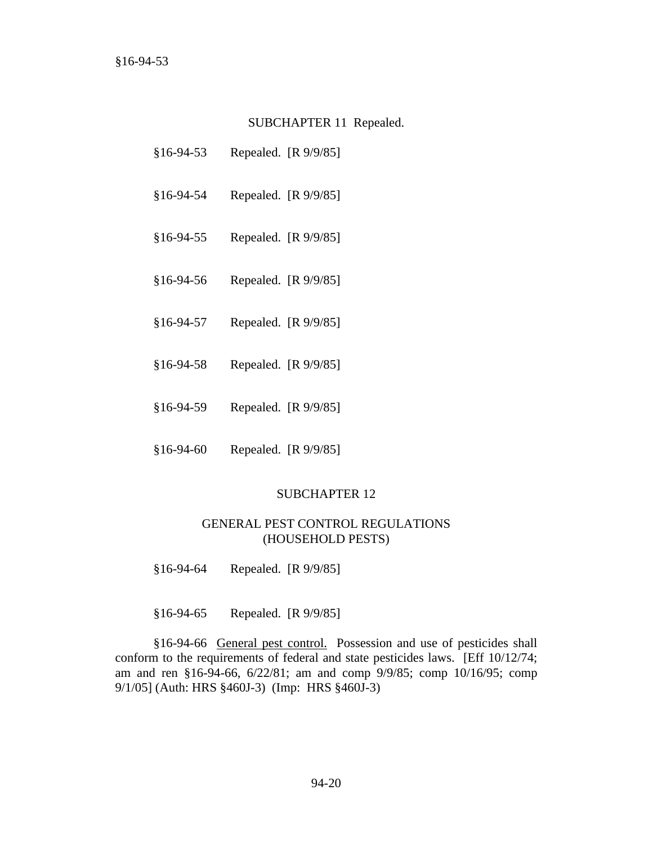#### SUBCHAPTER 11 Repealed.

- §16-94-53 Repealed. [R 9/9/85]
- §16-94-54 Repealed. [R 9/9/85]
- §16-94-55 Repealed. [R 9/9/85]
- §16-94-56 Repealed. [R 9/9/85]
- §16-94-57 Repealed. [R 9/9/85]
- §16-94-58 Repealed. [R 9/9/85]
- §16-94-59 Repealed. [R 9/9/85]
- §16-94-60 Repealed. [R 9/9/85]

### SUBCHAPTER 12

## GENERAL PEST CONTROL REGULATIONS (HOUSEHOLD PESTS)

§16-94-64 Repealed. [R 9/9/85]

§16-94-65 Repealed. [R 9/9/85]

§16-94-66 General pest control. Possession and use of pesticides shall conform to the requirements of federal and state pesticides laws. [Eff 10/12/74; am and ren §16-94-66, 6/22/81; am and comp 9/9/85; comp 10/16/95; comp 9/1/05] (Auth: HRS §460J-3) (Imp: HRS §460J-3)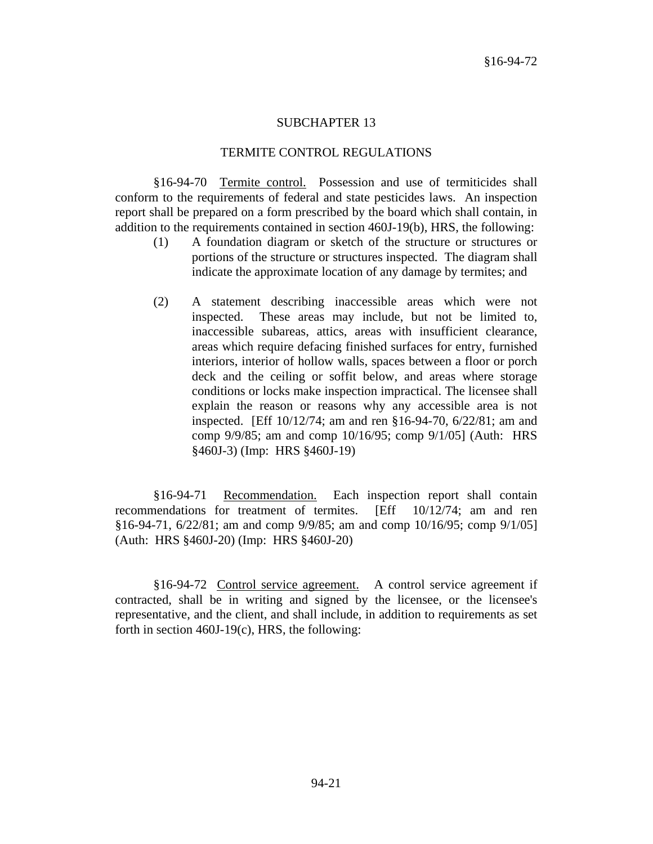### SUBCHAPTER 13

### TERMITE CONTROL REGULATIONS

§16-94-70 Termite control. Possession and use of termiticides shall conform to the requirements of federal and state pesticides laws. An inspection report shall be prepared on a form prescribed by the board which shall contain, in addition to the requirements contained in section 460J-19(b), HRS, the following:

- (1) A foundation diagram or sketch of the structure or structures or portions of the structure or structures inspected. The diagram shall indicate the approximate location of any damage by termites; and
- (2) A statement describing inaccessible areas which were not inspected. These areas may include, but not be limited to, inaccessible subareas, attics, areas with insufficient clearance, areas which require defacing finished surfaces for entry, furnished interiors, interior of hollow walls, spaces between a floor or porch deck and the ceiling or soffit below, and areas where storage conditions or locks make inspection impractical. The licensee shall explain the reason or reasons why any accessible area is not inspected. [Eff 10/12/74; am and ren §16-94-70, 6/22/81; am and comp 9/9/85; am and comp 10/16/95; comp 9/1/05] (Auth: HRS §460J-3) (Imp: HRS §460J-19)

§16-94-71 Recommendation. Each inspection report shall contain recommendations for treatment of termites. [Eff 10/12/74; am and ren §16-94-71, 6/22/81; am and comp 9/9/85; am and comp 10/16/95; comp 9/1/05] (Auth: HRS §460J-20) (Imp: HRS §460J-20)

§16-94-72 Control service agreement. A control service agreement if contracted, shall be in writing and signed by the licensee, or the licensee's representative, and the client, and shall include, in addition to requirements as set forth in section  $460J-19(c)$ , HRS, the following: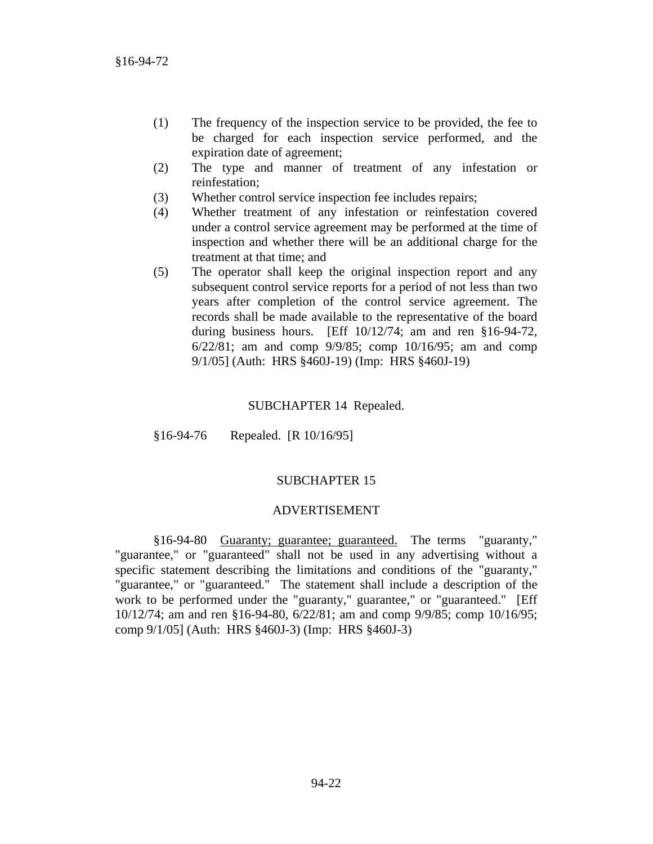- (1) The frequency of the inspection service to be provided, the fee to be charged for each inspection service performed, and the expiration date of agreement;
- (2) The type and manner of treatment of any infestation or reinfestation;
- (3) Whether control service inspection fee includes repairs;
- (4) Whether treatment of any infestation or reinfestation covered under a control service agreement may be performed at the time of inspection and whether there will be an additional charge for the treatment at that time; and
- (5) The operator shall keep the original inspection report and any subsequent control service reports for a period of not less than two years after completion of the control service agreement. The records shall be made available to the representative of the board during business hours. [Eff 10/12/74; am and ren §16-94-72, 6/22/81; am and comp 9/9/85; comp 10/16/95; am and comp 9/1/05] (Auth: HRS §460J-19) (Imp: HRS §460J-19)

### SUBCHAPTER 14 Repealed.

§16-94-76 Repealed. [R 10/16/95]

## SUBCHAPTER 15

#### ADVERTISEMENT

§16-94-80 Guaranty; guarantee; guaranteed. The terms "guaranty," "guarantee," or "guaranteed" shall not be used in any advertising without a specific statement describing the limitations and conditions of the "guaranty," "guarantee," or "guaranteed." The statement shall include a description of the work to be performed under the "guaranty," guarantee," or "guaranteed." [Eff 10/12/74; am and ren §16-94-80, 6/22/81; am and comp 9/9/85; comp 10/16/95; comp 9/1/05] (Auth: HRS §460J-3) (Imp: HRS §460J-3)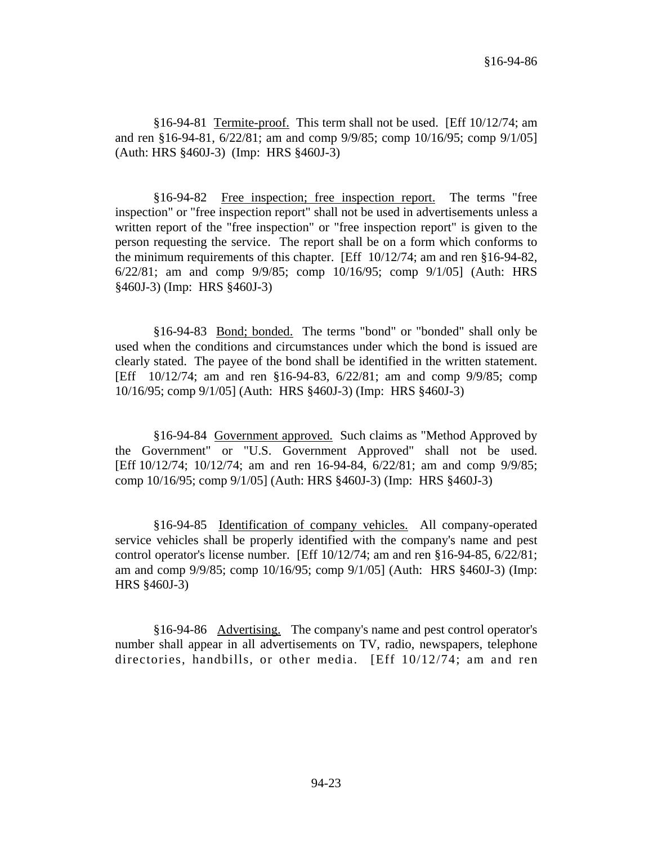§16-94-81 Termite-proof. This term shall not be used. [Eff 10/12/74; am and ren §16-94-81, 6/22/81; am and comp 9/9/85; comp 10/16/95; comp 9/1/05] (Auth: HRS §460J-3) (Imp: HRS §460J-3)

§16-94-82 Free inspection; free inspection report. The terms "free inspection" or "free inspection report" shall not be used in advertisements unless a written report of the "free inspection" or "free inspection report" is given to the person requesting the service. The report shall be on a form which conforms to the minimum requirements of this chapter. [Eff 10/12/74; am and ren §16-94-82, 6/22/81; am and comp 9/9/85; comp 10/16/95; comp 9/1/05] (Auth: HRS §460J-3) (Imp: HRS §460J-3)

§16-94-83 Bond; bonded. The terms "bond" or "bonded" shall only be used when the conditions and circumstances under which the bond is issued are clearly stated. The payee of the bond shall be identified in the written statement. [Eff 10/12/74; am and ren §16-94-83, 6/22/81; am and comp 9/9/85; comp 10/16/95; comp 9/1/05] (Auth: HRS §460J-3) (Imp: HRS §460J-3)

§16-94-84 Government approved. Such claims as "Method Approved by the Government" or "U.S. Government Approved" shall not be used. [Eff 10/12/74; 10/12/74; am and ren 16-94-84, 6/22/81; am and comp 9/9/85; comp 10/16/95; comp 9/1/05] (Auth: HRS §460J-3) (Imp: HRS §460J-3)

§16-94-85 Identification of company vehicles. All company-operated service vehicles shall be properly identified with the company's name and pest control operator's license number. [Eff 10/12/74; am and ren §16-94-85, 6/22/81; am and comp 9/9/85; comp 10/16/95; comp 9/1/05] (Auth: HRS §460J-3) (Imp: HRS §460J-3)

§16-94-86 Advertising. The company's name and pest control operator's number shall appear in all advertisements on TV, radio, newspapers, telephone directories, handbills, or other media. [Eff 10/12/74; am and ren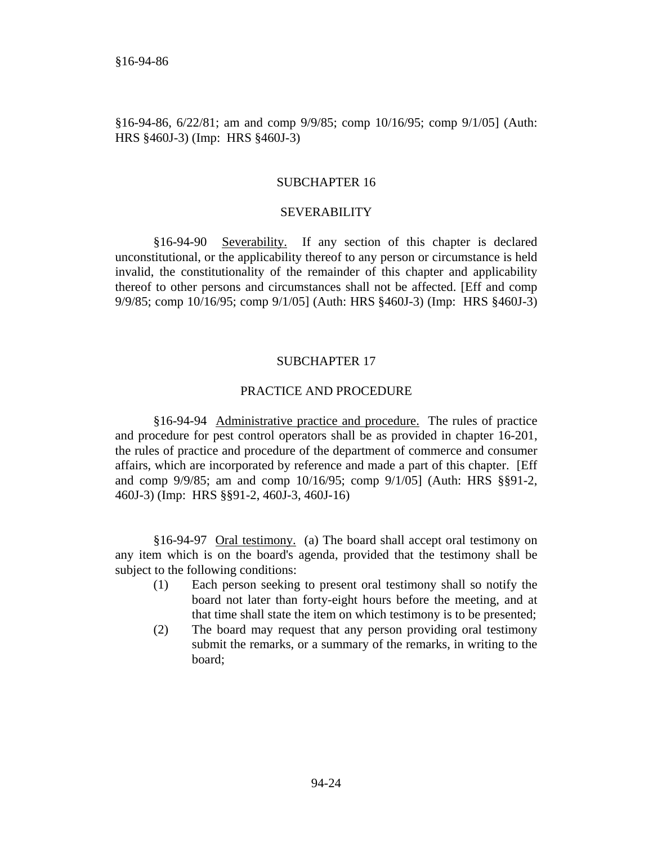§16-94-86, 6/22/81; am and comp 9/9/85; comp 10/16/95; comp 9/1/05] (Auth: HRS §460J-3) (Imp: HRS §460J-3)

## SUBCHAPTER 16

#### SEVERABILITY

§16-94-90 Severability. If any section of this chapter is declared unconstitutional, or the applicability thereof to any person or circumstance is held invalid, the constitutionality of the remainder of this chapter and applicability thereof to other persons and circumstances shall not be affected. [Eff and comp 9/9/85; comp 10/16/95; comp 9/1/05] (Auth: HRS §460J-3) (Imp: HRS §460J-3)

#### SUBCHAPTER 17

#### PRACTICE AND PROCEDURE

§16-94-94 Administrative practice and procedure. The rules of practice and procedure for pest control operators shall be as provided in chapter 16-201, the rules of practice and procedure of the department of commerce and consumer affairs, which are incorporated by reference and made a part of this chapter. [Eff and comp 9/9/85; am and comp 10/16/95; comp 9/1/05] (Auth: HRS §§91-2, 460J-3) (Imp: HRS §§91-2, 460J-3, 460J-16)

§16-94-97 Oral testimony. (a) The board shall accept oral testimony on any item which is on the board's agenda, provided that the testimony shall be subject to the following conditions:

- (1) Each person seeking to present oral testimony shall so notify the board not later than forty-eight hours before the meeting, and at that time shall state the item on which testimony is to be presented;
- (2) The board may request that any person providing oral testimony submit the remarks, or a summary of the remarks, in writing to the board;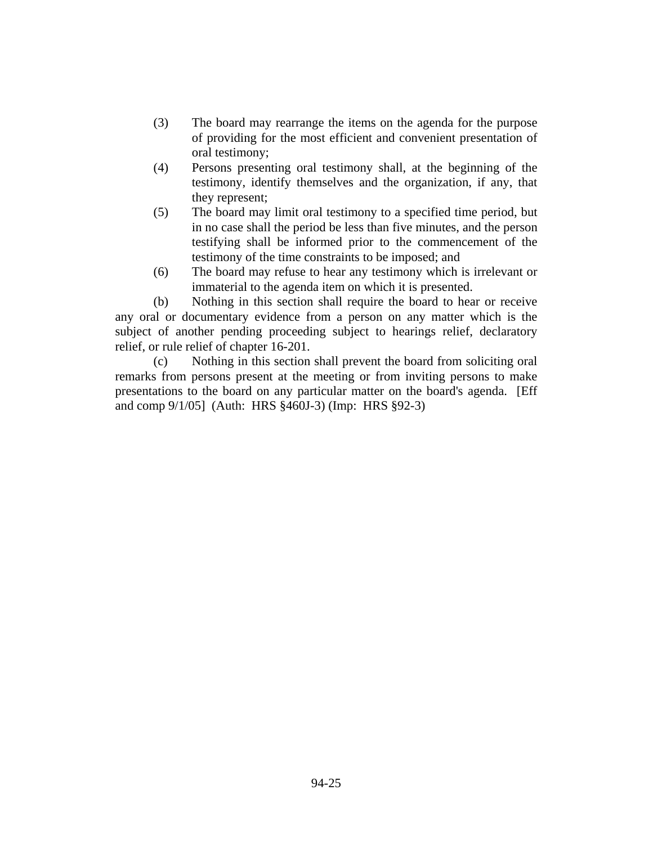- (3) The board may rearrange the items on the agenda for the purpose of providing for the most efficient and convenient presentation of oral testimony;
- (4) Persons presenting oral testimony shall, at the beginning of the testimony, identify themselves and the organization, if any, that they represent;
- (5) The board may limit oral testimony to a specified time period, but in no case shall the period be less than five minutes, and the person testifying shall be informed prior to the commencement of the testimony of the time constraints to be imposed; and
- (6) The board may refuse to hear any testimony which is irrelevant or immaterial to the agenda item on which it is presented.

(b) Nothing in this section shall require the board to hear or receive any oral or documentary evidence from a person on any matter which is the subject of another pending proceeding subject to hearings relief, declaratory relief, or rule relief of chapter 16-201.

(c) Nothing in this section shall prevent the board from soliciting oral remarks from persons present at the meeting or from inviting persons to make presentations to the board on any particular matter on the board's agenda. [Eff and comp 9/1/05] (Auth: HRS §460J-3) (Imp: HRS §92-3)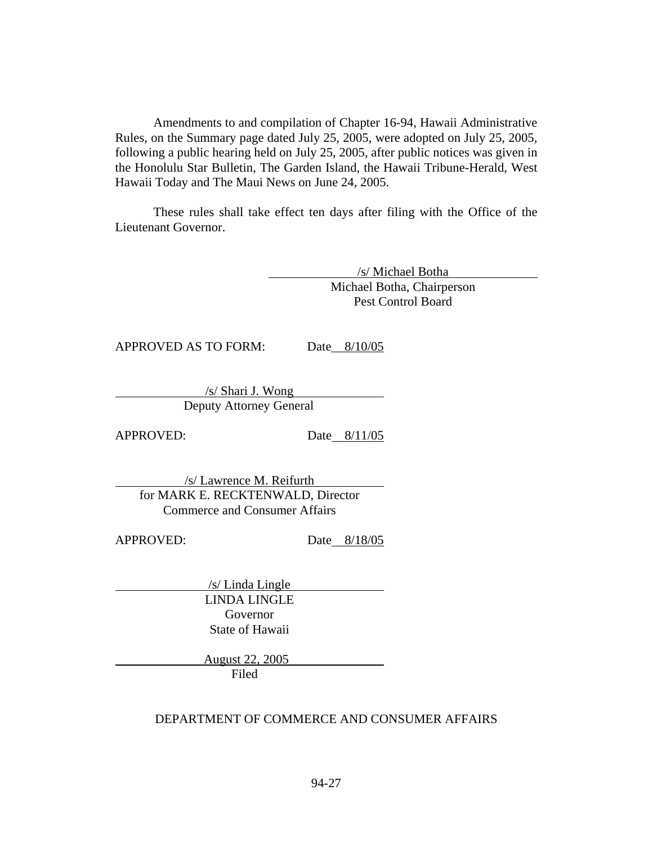Amendments to and compilation of Chapter 16-94, Hawaii Administrative Rules, on the Summary page dated July 25, 2005, were adopted on July 25, 2005, following a public hearing held on July 25, 2005, after public notices was given in the Honolulu Star Bulletin, The Garden Island, the Hawaii Tribune-Herald, West Hawaii Today and The Maui News on June 24, 2005.

These rules shall take effect ten days after filing with the Office of the Lieutenant Governor.

> /s/ Michael Botha Michael Botha, Chairperson Pest Control Board

APPROVED AS TO FORM: Date 8/10/05

/s/ Shari J. Wong Deputy Attorney General

APPROVED: Date 8/11/05

/s/ Lawrence M. Reifurth for MARK E. RECKTENWALD, Director Commerce and Consumer Affairs

APPROVED: Date 8/18/05

/s/ Linda Lingle LINDA LINGLE Governor State of Hawaii

> August 22, 2005 Filed

## DEPARTMENT OF COMMERCE AND CONSUMER AFFAIRS